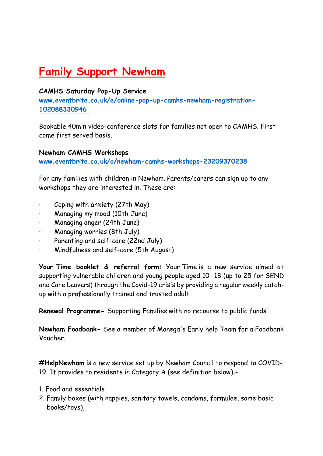# **Family Support Newham**

#### **CAMHS Saturday Pop-Up Service**

**[www.eventbrite.co.uk/e/online-pop-up-camhs-newham-registration-](http://www.eventbrite.co.uk/e/online-pop-up-camhs-newham-registration-102088330946)[102088330946](http://www.eventbrite.co.uk/e/online-pop-up-camhs-newham-registration-102088330946)**

Bookable 40min video-conference slots for families not open to CAMHS. First come first served basis.

**Newham CAMHS Workshops**

**[www.eventbrite.co.uk/o/newham-camhs-workshops-23209370238](http://www.eventbrite.co.uk/o/newham-camhs-workshops-23209370238)**

For any families with children in Newham. Parents/carers can sign up to any workshops they are interested in. These are:

- Coping with anxiety (27th May)
- · Managing my mood (10th June)
- · Managing anger (24th June)
- · Managing worries (8th July)
- Parenting and self-care (22nd July)
- · Mindfulness and self-care (5th August)

**Your Time booklet & referral form:** Your Time is a new service aimed at supporting vulnerable children and young people aged 10 -18 (up to 25 for SEND and Care Leavers) through the Covid-19 crisis by providing a regular weekly catchup with a professionally trained and trusted adult.

**Renewal Programme-** Supporting Families with no recourse to public funds

**Newham Foodbank-** See a member of Monega's Early help Team for a Foodbank Voucher.

**#HelpNewham** is a new service set up by Newham Council to respond to COVID-19. It provides to residents in Category A (see definition below):-

- 1. Food and essentials
- 2. Family boxes (with nappies, sanitary towels, condoms, formulae, some basic books/toys),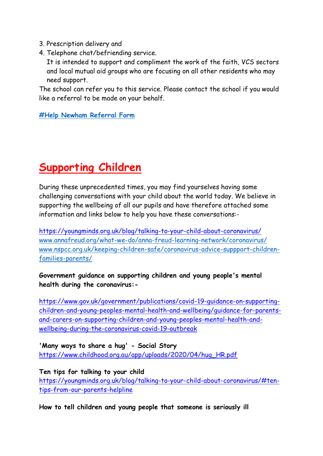- 3. Prescription delivery and
- 4. Telephone chat/befriending service.

It is intended to support and compliment the work of the faith, VCS sectors and local mutual aid groups who are focusing on all other residents who may need support.

The school can refer you to this service. Please contact the school if you would like a referral to be made on your behalf.

**[#Help Newham Referral Form](https://forms.office.com/Pages/ResponsePage.aspx?id=4Wk2NRiX-Eab7ZWvyHdsinzNexfecdxDi8j0lfqE4qdUOFNIVFBPTjhWVTZWSUs1NE9IMUhMN1o4MC4u)**

# **Supporting Children**

During these unprecedented times, you may find yourselves having some challenging conversations with your child about the world today. We believe in supporting the wellbeing of all our pupils and have therefore attached some information and links below to help you have these conversations:-

<https://youngminds.org.uk/blog/talking-to-your-child-about-coronavirus/> [www.annafreud.org/what-we-do/anna-freud-learning-network/coronavirus/](http://www.annafreud.org/what-we-do/anna-freud-learning-network/coronavirus/) [www.nspcc.org.uk/keeping-children-safe/coronavirus-advice-suppport-children](http://www.nspcc.org.uk/keeping-children-safe/coronavirus-advice-suppport-children-families-parents/)[families-parents/](http://www.nspcc.org.uk/keeping-children-safe/coronavirus-advice-suppport-children-families-parents/)

#### **Government guidance on supporting children and young people's mental health during the coronavirus:-**

[https://www.gov.uk/government/publications/covid-19-guidance-on-supporting](https://www.gov.uk/government/publications/covid-19-guidance-on-supporting-children-and-young-peoples-mental-health-and-wellbeing/guidance-for-parents-and-carers-on-supporting-children-and-young-peoples-mental-health-and-wellbeing-during-the-coronavirus-covid-19-outbreak)[children-and-young-peoples-mental-health-and-wellbeing/guidance-for-parents](https://www.gov.uk/government/publications/covid-19-guidance-on-supporting-children-and-young-peoples-mental-health-and-wellbeing/guidance-for-parents-and-carers-on-supporting-children-and-young-peoples-mental-health-and-wellbeing-during-the-coronavirus-covid-19-outbreak)[and-carers-on-supporting-children-and-young-peoples-mental-health-and](https://www.gov.uk/government/publications/covid-19-guidance-on-supporting-children-and-young-peoples-mental-health-and-wellbeing/guidance-for-parents-and-carers-on-supporting-children-and-young-peoples-mental-health-and-wellbeing-during-the-coronavirus-covid-19-outbreak)[wellbeing-during-the-coronavirus-covid-19-outbreak](https://www.gov.uk/government/publications/covid-19-guidance-on-supporting-children-and-young-peoples-mental-health-and-wellbeing/guidance-for-parents-and-carers-on-supporting-children-and-young-peoples-mental-health-and-wellbeing-during-the-coronavirus-covid-19-outbreak)

**'Many ways to share a hug' - Social Story** [https://www.childhood.org.au/app/uploads/2020/04/hug\\_HR.pdf](https://www.childhood.org.au/app/uploads/2020/04/hug_HR.pdf)

**Ten tips for talking to your child** [https://youngminds.org.uk/blog/talking-to-your-child-about-coronavirus/#ten](https://youngminds.org.uk/blog/talking-to-your-child-about-coronavirus/#ten-tips-from-our-parents-helpline)[tips-from-our-parents-helpline](https://youngminds.org.uk/blog/talking-to-your-child-about-coronavirus/#ten-tips-from-our-parents-helpline)

**How to tell children and young people that someone is seriously ill**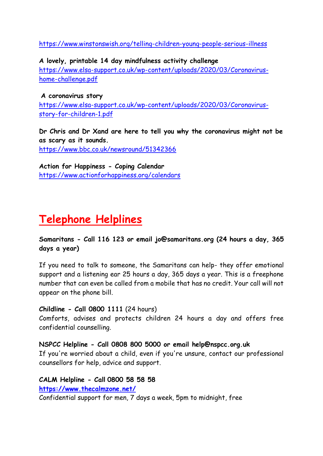[https://www.winstonswish.org/telling-children-young-people-serious-illness](https://www.winstonswish.org/telling-children-young-people-serious-illness/)

**A lovely, printable 14 day mindfulness activity challenge** [https://www.elsa-support.co.uk/wp-content/uploads/2020/03/Coronavirus](https://www.elsa-support.co.uk/wp-content/uploads/2020/03/Coronavirus-home-challenge.pdf)[home-challenge.pdf](https://www.elsa-support.co.uk/wp-content/uploads/2020/03/Coronavirus-home-challenge.pdf)

**A coronavirus story** [https://www.elsa-support.co.uk/wp-content/uploads/2020/03/Coronavirus](https://www.elsa-support.co.uk/wp-content/uploads/2020/03/Coronavirus-story-for-children-1.pdf)[story-for-children-1.pdf](https://www.elsa-support.co.uk/wp-content/uploads/2020/03/Coronavirus-story-for-children-1.pdf)

**Dr Chris and Dr Xand are here to tell you why the coronavirus might not be as scary as it sounds.** <https://www.bbc.co.uk/newsround/51342366>

**Action for Happiness - Coping Calendar** <https://www.actionforhappiness.org/calendars>

### **Telephone Helplines**

**Samaritans - Call 116 123 or email jo@samaritans.org (24 hours a day, 365 days a year)**

If you need to talk to someone, the Samaritans can help- they offer emotional support and a listening ear 25 hours a day, 365 days a year. This is a freephone number that can even be called from a mobile that has no credit. Your call will not appear on the phone bill.

#### **Childline - Call 0800 1111** (24 hours)

Comforts, advises and protects children 24 hours a day and offers free confidential counselling.

**NSPCC Helpline - Call 0808 800 5000 or email help@nspcc.org.uk**

If you're worried about a child, even if you're unsure, contact our professional counsellors for help, advice and support.

#### **CALM Helpline - Call 0800 58 58 58**

**<https://www.thecalmzone.net/>**

Confidential support for men, 7 days a week, 5pm to midnight, free